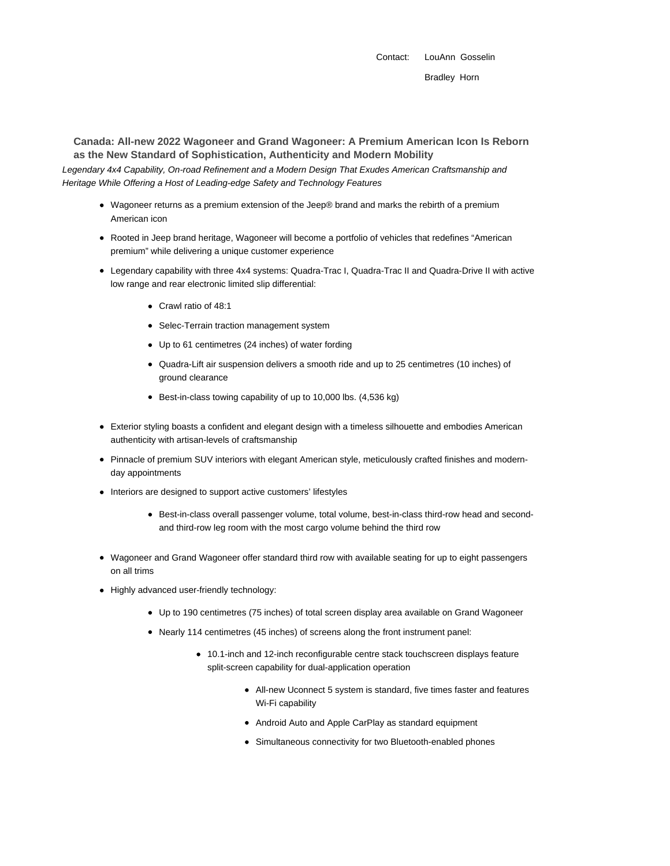Contact: LouAnn Gosselin

**Canada: All-new 2022 Wagoneer and Grand Wagoneer: A Premium American Icon Is Reborn as the New Standard of Sophistication, Authenticity and Modern Mobility**

Legendary 4x4 Capability, On-road Refinement and a Modern Design That Exudes American Craftsmanship and Heritage While Offering a Host of Leading-edge Safety and Technology Features

- Wagoneer returns as a premium extension of the Jeep® brand and marks the rebirth of a premium American icon
- Rooted in Jeep brand heritage, Wagoneer will become a portfolio of vehicles that redefines "American premium" while delivering a unique customer experience
- Legendary capability with three 4x4 systems: Quadra-Trac I, Quadra-Trac II and Quadra-Drive II with active low range and rear electronic limited slip differential:
	- Crawl ratio of 48:1
	- Selec-Terrain traction management system
	- Up to 61 centimetres (24 inches) of water fording
	- Quadra-Lift air suspension delivers a smooth ride and up to 25 centimetres (10 inches) of ground clearance
	- Best-in-class towing capability of up to 10,000 lbs. (4,536 kg)
- Exterior styling boasts a confident and elegant design with a timeless silhouette and embodies American authenticity with artisan-levels of craftsmanship
- Pinnacle of premium SUV interiors with elegant American style, meticulously crafted finishes and modernday appointments
- Interiors are designed to support active customers' lifestyles
	- Best-in-class overall passenger volume, total volume, best-in-class third-row head and secondand third-row leg room with the most cargo volume behind the third row
- Wagoneer and Grand Wagoneer offer standard third row with available seating for up to eight passengers on all trims
- Highly advanced user-friendly technology:
	- Up to 190 centimetres (75 inches) of total screen display area available on Grand Wagoneer
	- Nearly 114 centimetres (45 inches) of screens along the front instrument panel:
		- 10.1-inch and 12-inch reconfigurable centre stack touchscreen displays feature split-screen capability for dual-application operation
			- All-new Uconnect 5 system is standard, five times faster and features Wi-Fi capability
			- Android Auto and Apple CarPlay as standard equipment
			- Simultaneous connectivity for two Bluetooth-enabled phones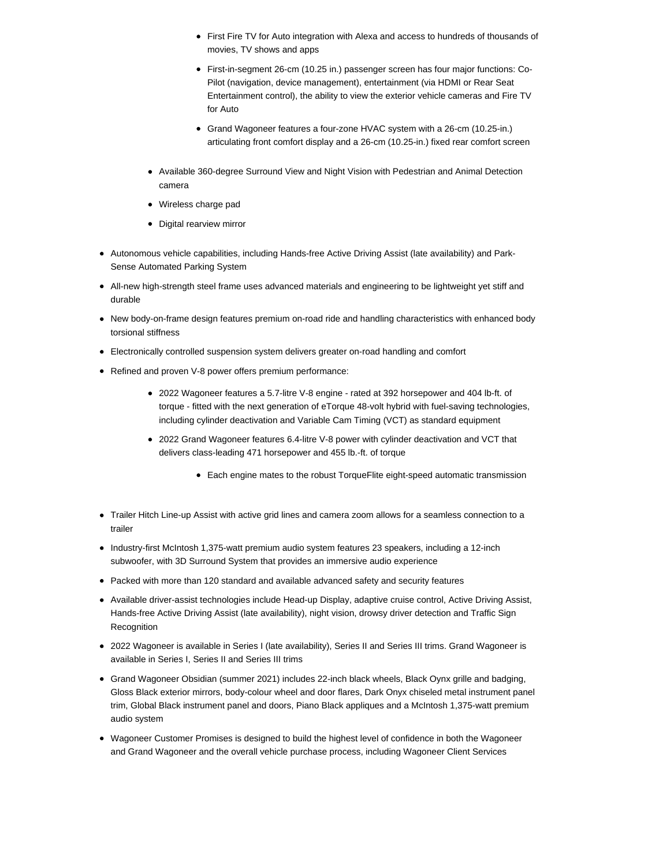- First Fire TV for Auto integration with Alexa and access to hundreds of thousands of movies, TV shows and apps
- First-in-segment 26-cm (10.25 in.) passenger screen has four major functions: Co-Pilot (navigation, device management), entertainment (via HDMI or Rear Seat Entertainment control), the ability to view the exterior vehicle cameras and Fire TV for Auto
- Grand Wagoneer features a four-zone HVAC system with a 26-cm (10.25-in.) articulating front comfort display and a 26-cm (10.25-in.) fixed rear comfort screen
- Available 360-degree Surround View and Night Vision with Pedestrian and Animal Detection camera
- Wireless charge pad
- Digital rearview mirror
- Autonomous vehicle capabilities, including Hands-free Active Driving Assist (late availability) and Park-Sense Automated Parking System
- All-new high-strength steel frame uses advanced materials and engineering to be lightweight yet stiff and durable
- New body-on-frame design features premium on-road ride and handling characteristics with enhanced body torsional stiffness
- Electronically controlled suspension system delivers greater on-road handling and comfort
- Refined and proven V-8 power offers premium performance:
	- 2022 Wagoneer features a 5.7-litre V-8 engine rated at 392 horsepower and 404 lb-ft. of torque - fitted with the next generation of eTorque 48-volt hybrid with fuel-saving technologies, including cylinder deactivation and Variable Cam Timing (VCT) as standard equipment
	- 2022 Grand Wagoneer features 6.4-litre V-8 power with cylinder deactivation and VCT that delivers class-leading 471 horsepower and 455 lb.-ft. of torque
		- Each engine mates to the robust TorqueFlite eight-speed automatic transmission
- Trailer Hitch Line-up Assist with active grid lines and camera zoom allows for a seamless connection to a trailer
- Industry-first McIntosh 1,375-watt premium audio system features 23 speakers, including a 12-inch subwoofer, with 3D Surround System that provides an immersive audio experience
- Packed with more than 120 standard and available advanced safety and security features
- Available driver-assist technologies include Head-up Display, adaptive cruise control, Active Driving Assist, Hands-free Active Driving Assist (late availability), night vision, drowsy driver detection and Traffic Sign Recognition
- 2022 Wagoneer is available in Series I (late availability), Series II and Series III trims. Grand Wagoneer is available in Series I, Series II and Series III trims
- Grand Wagoneer Obsidian (summer 2021) includes 22-inch black wheels, Black Oynx grille and badging, Gloss Black exterior mirrors, body-colour wheel and door flares, Dark Onyx chiseled metal instrument panel trim, Global Black instrument panel and doors, Piano Black appliques and a McIntosh 1,375-watt premium audio system
- Wagoneer Customer Promises is designed to build the highest level of confidence in both the Wagoneer and Grand Wagoneer and the overall vehicle purchase process, including Wagoneer Client Services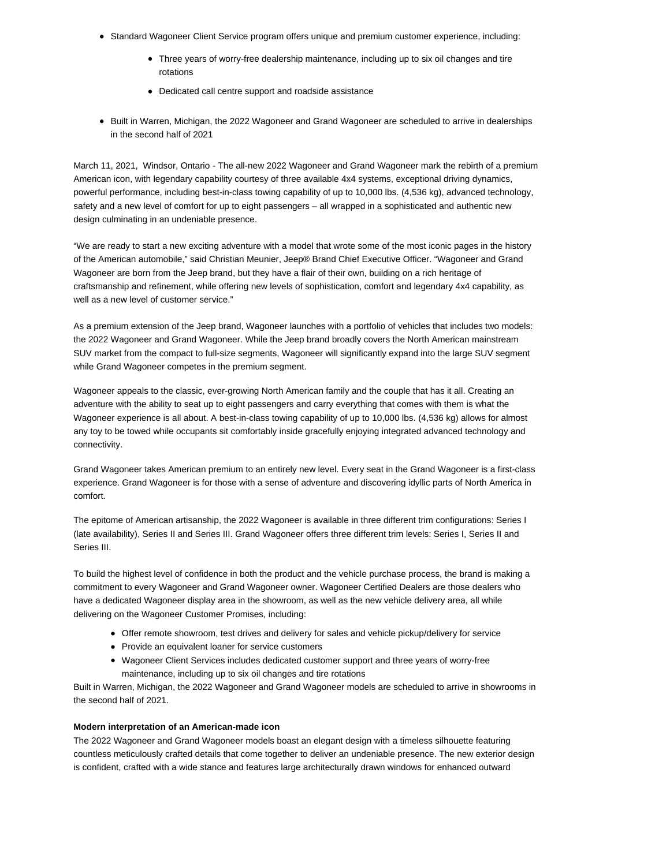- Standard Wagoneer Client Service program offers unique and premium customer experience, including:
	- Three years of worry-free dealership maintenance, including up to six oil changes and tire rotations
	- Dedicated call centre support and roadside assistance
- Built in Warren, Michigan, the 2022 Wagoneer and Grand Wagoneer are scheduled to arrive in dealerships in the second half of 2021

March 11, 2021, Windsor, Ontario - The all-new 2022 Wagoneer and Grand Wagoneer mark the rebirth of a premium American icon, with legendary capability courtesy of three available 4x4 systems, exceptional driving dynamics, powerful performance, including best-in-class towing capability of up to 10,000 lbs. (4,536 kg), advanced technology, safety and a new level of comfort for up to eight passengers – all wrapped in a sophisticated and authentic new design culminating in an undeniable presence.

"We are ready to start a new exciting adventure with a model that wrote some of the most iconic pages in the history of the American automobile," said Christian Meunier, Jeep® Brand Chief Executive Officer. "Wagoneer and Grand Wagoneer are born from the Jeep brand, but they have a flair of their own, building on a rich heritage of craftsmanship and refinement, while offering new levels of sophistication, comfort and legendary 4x4 capability, as well as a new level of customer service."

As a premium extension of the Jeep brand, Wagoneer launches with a portfolio of vehicles that includes two models: the 2022 Wagoneer and Grand Wagoneer. While the Jeep brand broadly covers the North American mainstream SUV market from the compact to full-size segments, Wagoneer will significantly expand into the large SUV segment while Grand Wagoneer competes in the premium segment.

Wagoneer appeals to the classic, ever-growing North American family and the couple that has it all. Creating an adventure with the ability to seat up to eight passengers and carry everything that comes with them is what the Wagoneer experience is all about. A best-in-class towing capability of up to 10,000 lbs. (4,536 kg) allows for almost any toy to be towed while occupants sit comfortably inside gracefully enjoying integrated advanced technology and connectivity.

Grand Wagoneer takes American premium to an entirely new level. Every seat in the Grand Wagoneer is a first-class experience. Grand Wagoneer is for those with a sense of adventure and discovering idyllic parts of North America in comfort.

The epitome of American artisanship, the 2022 Wagoneer is available in three different trim configurations: Series I (late availability), Series II and Series III. Grand Wagoneer offers three different trim levels: Series I, Series II and Series III.

To build the highest level of confidence in both the product and the vehicle purchase process, the brand is making a commitment to every Wagoneer and Grand Wagoneer owner. Wagoneer Certified Dealers are those dealers who have a dedicated Wagoneer display area in the showroom, as well as the new vehicle delivery area, all while delivering on the Wagoneer Customer Promises, including:

- Offer remote showroom, test drives and delivery for sales and vehicle pickup/delivery for service
- Provide an equivalent loaner for service customers
- Wagoneer Client Services includes dedicated customer support and three years of worry-free maintenance, including up to six oil changes and tire rotations

Built in Warren, Michigan, the 2022 Wagoneer and Grand Wagoneer models are scheduled to arrive in showrooms in the second half of 2021.

### **Modern interpretation of an American-made icon**

The 2022 Wagoneer and Grand Wagoneer models boast an elegant design with a timeless silhouette featuring countless meticulously crafted details that come together to deliver an undeniable presence. The new exterior design is confident, crafted with a wide stance and features large architecturally drawn windows for enhanced outward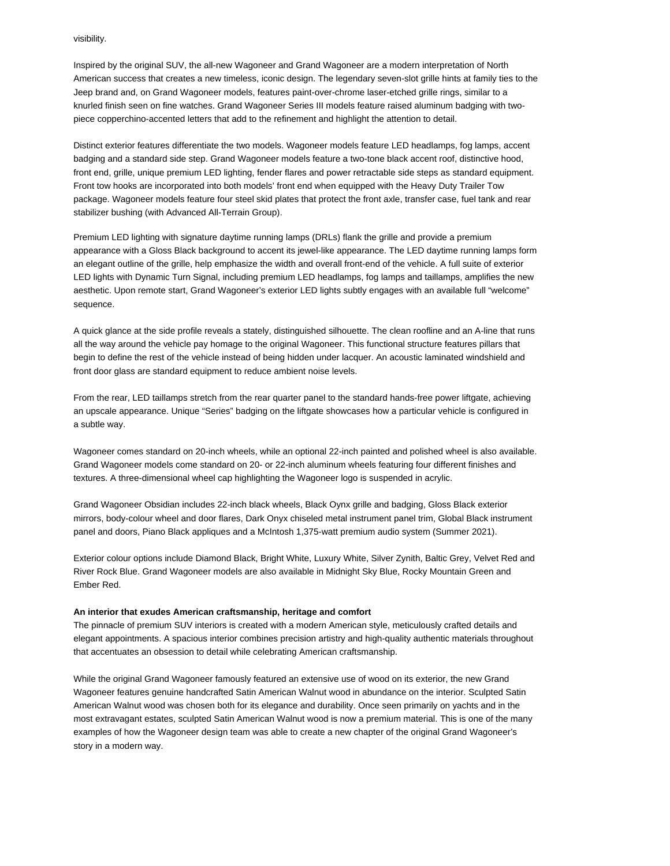visibility.

Inspired by the original SUV, the all-new Wagoneer and Grand Wagoneer are a modern interpretation of North American success that creates a new timeless, iconic design. The legendary seven-slot grille hints at family ties to the Jeep brand and, on Grand Wagoneer models, features paint-over-chrome laser-etched grille rings, similar to a knurled finish seen on fine watches. Grand Wagoneer Series III models feature raised aluminum badging with twopiece copperchino-accented letters that add to the refinement and highlight the attention to detail.

Distinct exterior features differentiate the two models. Wagoneer models feature LED headlamps, fog lamps, accent badging and a standard side step. Grand Wagoneer models feature a two-tone black accent roof, distinctive hood, front end, grille, unique premium LED lighting, fender flares and power retractable side steps as standard equipment. Front tow hooks are incorporated into both models' front end when equipped with the Heavy Duty Trailer Tow package. Wagoneer models feature four steel skid plates that protect the front axle, transfer case, fuel tank and rear stabilizer bushing (with Advanced All-Terrain Group).

Premium LED lighting with signature daytime running lamps (DRLs) flank the grille and provide a premium appearance with a Gloss Black background to accent its jewel-like appearance. The LED daytime running lamps form an elegant outline of the grille, help emphasize the width and overall front-end of the vehicle. A full suite of exterior LED lights with Dynamic Turn Signal, including premium LED headlamps, fog lamps and taillamps, amplifies the new aesthetic. Upon remote start, Grand Wagoneer's exterior LED lights subtly engages with an available full "welcome" sequence.

A quick glance at the side profile reveals a stately, distinguished silhouette. The clean roofline and an A-line that runs all the way around the vehicle pay homage to the original Wagoneer. This functional structure features pillars that begin to define the rest of the vehicle instead of being hidden under lacquer. An acoustic laminated windshield and front door glass are standard equipment to reduce ambient noise levels.

From the rear, LED taillamps stretch from the rear quarter panel to the standard hands-free power liftgate, achieving an upscale appearance. Unique "Series" badging on the liftgate showcases how a particular vehicle is configured in a subtle way.

Wagoneer comes standard on 20-inch wheels, while an optional 22-inch painted and polished wheel is also available. Grand Wagoneer models come standard on 20- or 22-inch aluminum wheels featuring four different finishes and textures. A three-dimensional wheel cap highlighting the Wagoneer logo is suspended in acrylic.

Grand Wagoneer Obsidian includes 22-inch black wheels, Black Oynx grille and badging, Gloss Black exterior mirrors, body-colour wheel and door flares, Dark Onyx chiseled metal instrument panel trim, Global Black instrument panel and doors, Piano Black appliques and a McIntosh 1,375-watt premium audio system (Summer 2021).

Exterior colour options include Diamond Black, Bright White, Luxury White, Silver Zynith, Baltic Grey, Velvet Red and River Rock Blue. Grand Wagoneer models are also available in Midnight Sky Blue, Rocky Mountain Green and Ember Red.

### **An interior that exudes American craftsmanship, heritage and comfort**

The pinnacle of premium SUV interiors is created with a modern American style, meticulously crafted details and elegant appointments. A spacious interior combines precision artistry and high-quality authentic materials throughout that accentuates an obsession to detail while celebrating American craftsmanship.

While the original Grand Wagoneer famously featured an extensive use of wood on its exterior, the new Grand Wagoneer features genuine handcrafted Satin American Walnut wood in abundance on the interior. Sculpted Satin American Walnut wood was chosen both for its elegance and durability. Once seen primarily on yachts and in the most extravagant estates, sculpted Satin American Walnut wood is now a premium material. This is one of the many examples of how the Wagoneer design team was able to create a new chapter of the original Grand Wagoneer's story in a modern way.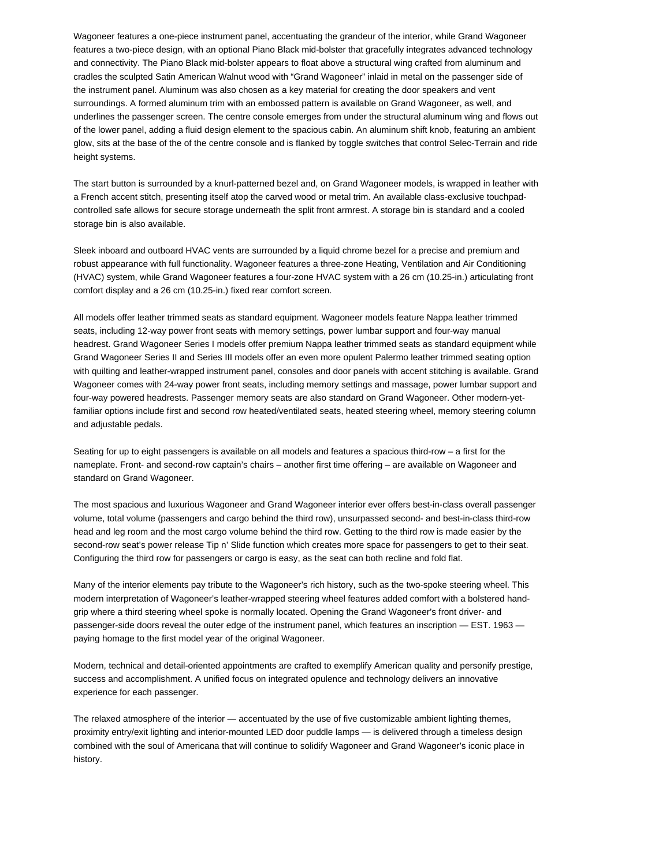Wagoneer features a one-piece instrument panel, accentuating the grandeur of the interior, while Grand Wagoneer features a two-piece design, with an optional Piano Black mid-bolster that gracefully integrates advanced technology and connectivity. The Piano Black mid-bolster appears to float above a structural wing crafted from aluminum and cradles the sculpted Satin American Walnut wood with "Grand Wagoneer" inlaid in metal on the passenger side of the instrument panel. Aluminum was also chosen as a key material for creating the door speakers and vent surroundings. A formed aluminum trim with an embossed pattern is available on Grand Wagoneer, as well, and underlines the passenger screen. The centre console emerges from under the structural aluminum wing and flows out of the lower panel, adding a fluid design element to the spacious cabin. An aluminum shift knob, featuring an ambient glow, sits at the base of the of the centre console and is flanked by toggle switches that control Selec-Terrain and ride height systems.

The start button is surrounded by a knurl-patterned bezel and, on Grand Wagoneer models, is wrapped in leather with a French accent stitch, presenting itself atop the carved wood or metal trim. An available class-exclusive touchpadcontrolled safe allows for secure storage underneath the split front armrest. A storage bin is standard and a cooled storage bin is also available.

Sleek inboard and outboard HVAC vents are surrounded by a liquid chrome bezel for a precise and premium and robust appearance with full functionality. Wagoneer features a three-zone Heating, Ventilation and Air Conditioning (HVAC) system, while Grand Wagoneer features a four-zone HVAC system with a 26 cm (10.25-in.) articulating front comfort display and a 26 cm (10.25-in.) fixed rear comfort screen.

All models offer leather trimmed seats as standard equipment. Wagoneer models feature Nappa leather trimmed seats, including 12-way power front seats with memory settings, power lumbar support and four-way manual headrest. Grand Wagoneer Series I models offer premium Nappa leather trimmed seats as standard equipment while Grand Wagoneer Series II and Series III models offer an even more opulent Palermo leather trimmed seating option with quilting and leather-wrapped instrument panel, consoles and door panels with accent stitching is available. Grand Wagoneer comes with 24-way power front seats, including memory settings and massage, power lumbar support and four-way powered headrests. Passenger memory seats are also standard on Grand Wagoneer. Other modern-yetfamiliar options include first and second row heated/ventilated seats, heated steering wheel, memory steering column and adjustable pedals.

Seating for up to eight passengers is available on all models and features a spacious third-row – a first for the nameplate. Front- and second-row captain's chairs – another first time offering – are available on Wagoneer and standard on Grand Wagoneer.

The most spacious and luxurious Wagoneer and Grand Wagoneer interior ever offers best-in-class overall passenger volume, total volume (passengers and cargo behind the third row), unsurpassed second- and best-in-class third-row head and leg room and the most cargo volume behind the third row. Getting to the third row is made easier by the second-row seat's power release Tip n' Slide function which creates more space for passengers to get to their seat. Configuring the third row for passengers or cargo is easy, as the seat can both recline and fold flat.

Many of the interior elements pay tribute to the Wagoneer's rich history, such as the two-spoke steering wheel. This modern interpretation of Wagoneer's leather-wrapped steering wheel features added comfort with a bolstered handgrip where a third steering wheel spoke is normally located. Opening the Grand Wagoneer's front driver- and passenger-side doors reveal the outer edge of the instrument panel, which features an inscription — EST. 1963 paying homage to the first model year of the original Wagoneer.

Modern, technical and detail-oriented appointments are crafted to exemplify American quality and personify prestige, success and accomplishment. A unified focus on integrated opulence and technology delivers an innovative experience for each passenger.

The relaxed atmosphere of the interior — accentuated by the use of five customizable ambient lighting themes, proximity entry/exit lighting and interior-mounted LED door puddle lamps — is delivered through a timeless design combined with the soul of Americana that will continue to solidify Wagoneer and Grand Wagoneer's iconic place in history.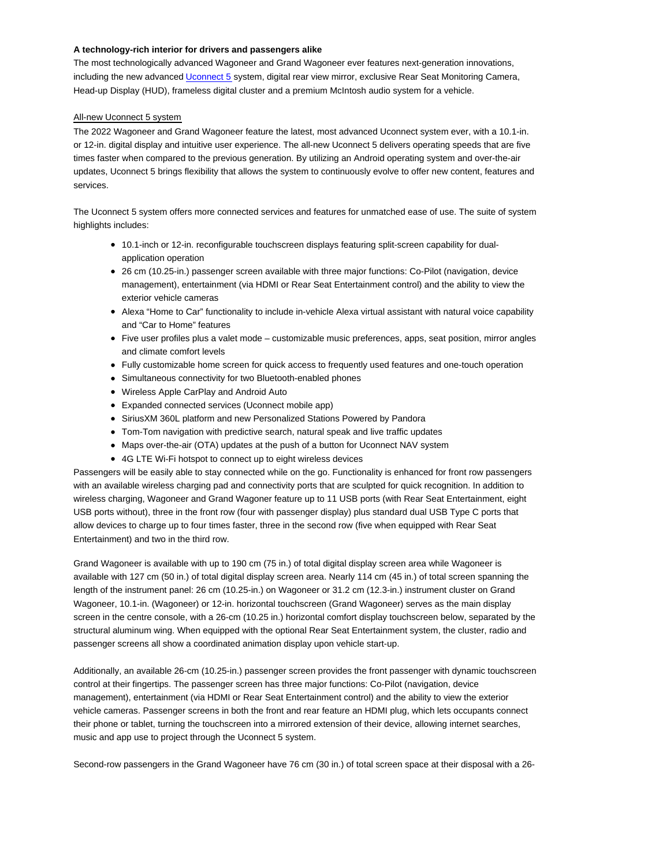### **A technology-rich interior for drivers and passengers alike**

The most technologically advanced Wagoneer and Grand Wagoneer ever features next-generation innovations, including the new advanced Uconnect 5 system, digital rear view mirror, exclusive Rear Seat Monitoring Camera, Head-up Display (HUD), frameless digital cluster and a premium McIntosh audio system for a vehicle.

# All-new Uconnect 5 system

The 2022 Wagoneer and Grand Wagoneer feature the latest, most advanced Uconnect system ever, with a 10.1-in. or 12-in. digital display and intuitive user experience. The all-new Uconnect 5 delivers operating speeds that are five times faster when compared to the previous generation. By utilizing an Android operating system and over-the-air updates, Uconnect 5 brings flexibility that allows the system to continuously evolve to offer new content, features and services.

The Uconnect 5 system offers more connected services and features for unmatched ease of use. The suite of system highlights includes:

- 10.1-inch or 12-in. reconfigurable touchscreen displays featuring split-screen capability for dualapplication operation
- 26 cm (10.25-in.) passenger screen available with three major functions: Co-Pilot (navigation, device management), entertainment (via HDMI or Rear Seat Entertainment control) and the ability to view the exterior vehicle cameras
- Alexa "Home to Car" functionality to include in-vehicle Alexa virtual assistant with natural voice capability and "Car to Home" features
- Five user profiles plus a valet mode customizable music preferences, apps, seat position, mirror angles and climate comfort levels
- Fully customizable home screen for quick access to frequently used features and one-touch operation
- Simultaneous connectivity for two Bluetooth-enabled phones
- Wireless Apple CarPlay and Android Auto
- Expanded connected services (Uconnect mobile app)
- SiriusXM 360L platform and new Personalized Stations Powered by Pandora
- Tom-Tom navigation with predictive search, natural speak and live traffic updates
- Maps over-the-air (OTA) updates at the push of a button for Uconnect NAV system
- 4G LTE Wi-Fi hotspot to connect up to eight wireless devices

Passengers will be easily able to stay connected while on the go. Functionality is enhanced for front row passengers with an available wireless charging pad and connectivity ports that are sculpted for quick recognition. In addition to wireless charging, Wagoneer and Grand Wagoner feature up to 11 USB ports (with Rear Seat Entertainment, eight USB ports without), three in the front row (four with passenger display) plus standard dual USB Type C ports that allow devices to charge up to four times faster, three in the second row (five when equipped with Rear Seat Entertainment) and two in the third row.

Grand Wagoneer is available with up to 190 cm (75 in.) of total digital display screen area while Wagoneer is available with 127 cm (50 in.) of total digital display screen area. Nearly 114 cm (45 in.) of total screen spanning the length of the instrument panel: 26 cm (10.25-in.) on Wagoneer or 31.2 cm (12.3-in.) instrument cluster on Grand Wagoneer, 10.1-in. (Wagoneer) or 12-in. horizontal touchscreen (Grand Wagoneer) serves as the main display screen in the centre console, with a 26-cm (10.25 in.) horizontal comfort display touchscreen below, separated by the structural aluminum wing. When equipped with the optional Rear Seat Entertainment system, the cluster, radio and passenger screens all show a coordinated animation display upon vehicle start-up.

Additionally, an available 26-cm (10.25-in.) passenger screen provides the front passenger with dynamic touchscreen control at their fingertips. The passenger screen has three major functions: Co-Pilot (navigation, device management), entertainment (via HDMI or Rear Seat Entertainment control) and the ability to view the exterior vehicle cameras. Passenger screens in both the front and rear feature an HDMI plug, which lets occupants connect their phone or tablet, turning the touchscreen into a mirrored extension of their device, allowing internet searches, music and app use to project through the Uconnect 5 system.

Second-row passengers in the Grand Wagoneer have 76 cm (30 in.) of total screen space at their disposal with a 26-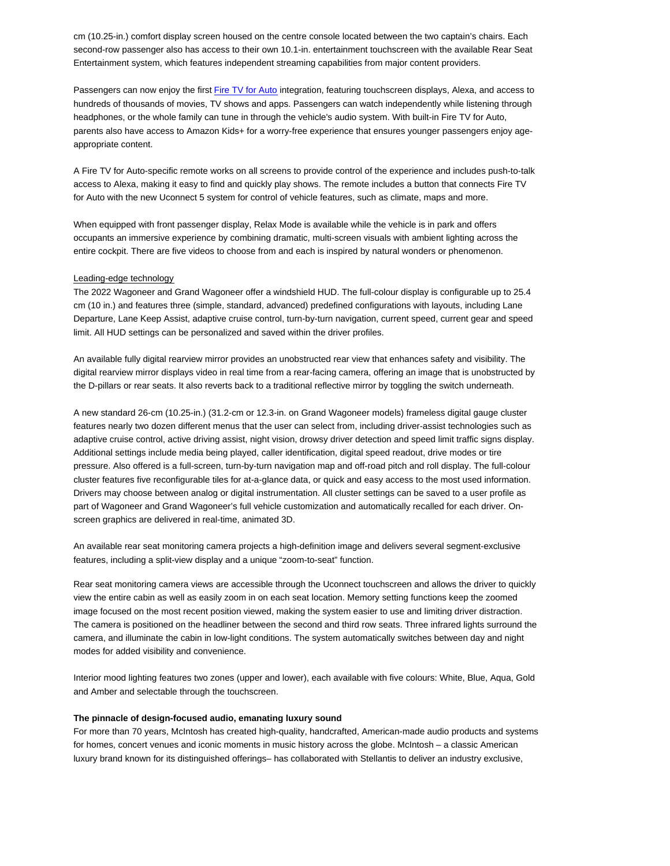cm (10.25-in.) comfort display screen housed on the centre console located between the two captain's chairs. Each second-row passenger also has access to their own 10.1-in. entertainment touchscreen with the available Rear Seat Entertainment system, which features independent streaming capabilities from major content providers.

Passengers can now enjoy the first Fire TV for Auto integration, featuring touchscreen displays, Alexa, and access to hundreds of thousands of movies, TV shows and apps. Passengers can watch independently while listening through headphones, or the whole family can tune in through the vehicle's audio system. With built-in Fire TV for Auto, parents also have access to Amazon Kids+ for a worry-free experience that ensures younger passengers enjoy ageappropriate content.

A Fire TV for Auto-specific remote works on all screens to provide control of the experience and includes push-to-talk access to Alexa, making it easy to find and quickly play shows. The remote includes a button that connects Fire TV for Auto with the new Uconnect 5 system for control of vehicle features, such as climate, maps and more.

When equipped with front passenger display, Relax Mode is available while the vehicle is in park and offers occupants an immersive experience by combining dramatic, multi-screen visuals with ambient lighting across the entire cockpit. There are five videos to choose from and each is inspired by natural wonders or phenomenon.

#### Leading-edge technology

The 2022 Wagoneer and Grand Wagoneer offer a windshield HUD. The full-colour display is configurable up to 25.4 cm (10 in.) and features three (simple, standard, advanced) predefined configurations with layouts, including Lane Departure, Lane Keep Assist, adaptive cruise control, turn-by-turn navigation, current speed, current gear and speed limit. All HUD settings can be personalized and saved within the driver profiles.

An available fully digital rearview mirror provides an unobstructed rear view that enhances safety and visibility. The digital rearview mirror displays video in real time from a rear-facing camera, offering an image that is unobstructed by the D-pillars or rear seats. It also reverts back to a traditional reflective mirror by toggling the switch underneath.

A new standard 26-cm (10.25-in.) (31.2-cm or 12.3-in. on Grand Wagoneer models) frameless digital gauge cluster features nearly two dozen different menus that the user can select from, including driver-assist technologies such as adaptive cruise control, active driving assist, night vision, drowsy driver detection and speed limit traffic signs display. Additional settings include media being played, caller identification, digital speed readout, drive modes or tire pressure. Also offered is a full-screen, turn-by-turn navigation map and off-road pitch and roll display. The full-colour cluster features five reconfigurable tiles for at-a-glance data, or quick and easy access to the most used information. Drivers may choose between analog or digital instrumentation. All cluster settings can be saved to a user profile as part of Wagoneer and Grand Wagoneer's full vehicle customization and automatically recalled for each driver. Onscreen graphics are delivered in real-time, animated 3D.

An available rear seat monitoring camera projects a high-definition image and delivers several segment-exclusive features, including a split-view display and a unique "zoom-to-seat" function.

Rear seat monitoring camera views are accessible through the Uconnect touchscreen and allows the driver to quickly view the entire cabin as well as easily zoom in on each seat location. Memory setting functions keep the zoomed image focused on the most recent position viewed, making the system easier to use and limiting driver distraction. The camera is positioned on the headliner between the second and third row seats. Three infrared lights surround the camera, and illuminate the cabin in low-light conditions. The system automatically switches between day and night modes for added visibility and convenience.

Interior mood lighting features two zones (upper and lower), each available with five colours: White, Blue, Aqua, Gold and Amber and selectable through the touchscreen.

#### **The pinnacle of design-focused audio, emanating luxury sound**

For more than 70 years, McIntosh has created high-quality, handcrafted, American-made audio products and systems for homes, concert venues and iconic moments in music history across the globe. McIntosh – a classic American luxury brand known for its distinguished offerings– has collaborated with Stellantis to deliver an industry exclusive,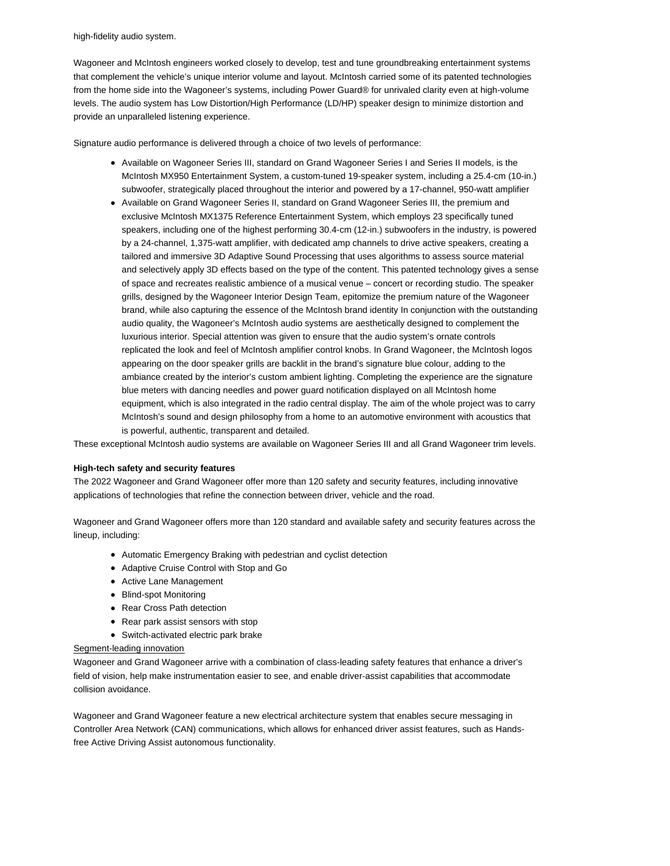high-fidelity audio system.

Wagoneer and McIntosh engineers worked closely to develop, test and tune groundbreaking entertainment systems that complement the vehicle's unique interior volume and layout. McIntosh carried some of its patented technologies from the home side into the Wagoneer's systems, including Power Guard® for unrivaled clarity even at high-volume levels. The audio system has Low Distortion/High Performance (LD/HP) speaker design to minimize distortion and provide an unparalleled listening experience.

Signature audio performance is delivered through a choice of two levels of performance:

- Available on Wagoneer Series III, standard on Grand Wagoneer Series I and Series II models, is the McIntosh MX950 Entertainment System, a custom-tuned 19-speaker system, including a 25.4-cm (10-in.) subwoofer, strategically placed throughout the interior and powered by a 17-channel, 950-watt amplifier
- Available on Grand Wagoneer Series II, standard on Grand Wagoneer Series III, the premium and exclusive McIntosh MX1375 Reference Entertainment System, which employs 23 specifically tuned speakers, including one of the highest performing 30.4-cm (12-in.) subwoofers in the industry, is powered by a 24-channel, 1,375-watt amplifier, with dedicated amp channels to drive active speakers, creating a tailored and immersive 3D Adaptive Sound Processing that uses algorithms to assess source material and selectively apply 3D effects based on the type of the content. This patented technology gives a sense of space and recreates realistic ambience of a musical venue – concert or recording studio. The speaker grills, designed by the Wagoneer Interior Design Team, epitomize the premium nature of the Wagoneer brand, while also capturing the essence of the McIntosh brand identity In conjunction with the outstanding audio quality, the Wagoneer's McIntosh audio systems are aesthetically designed to complement the luxurious interior. Special attention was given to ensure that the audio system's ornate controls replicated the look and feel of McIntosh amplifier control knobs. In Grand Wagoneer, the McIntosh logos appearing on the door speaker grills are backlit in the brand's signature blue colour, adding to the ambiance created by the interior's custom ambient lighting. Completing the experience are the signature blue meters with dancing needles and power guard notification displayed on all McIntosh home equipment, which is also integrated in the radio central display. The aim of the whole project was to carry McIntosh's sound and design philosophy from a home to an automotive environment with acoustics that is powerful, authentic, transparent and detailed.

These exceptional McIntosh audio systems are available on Wagoneer Series III and all Grand Wagoneer trim levels.

### **High-tech safety and security features**

The 2022 Wagoneer and Grand Wagoneer offer more than 120 safety and security features, including innovative applications of technologies that refine the connection between driver, vehicle and the road.

Wagoneer and Grand Wagoneer offers more than 120 standard and available safety and security features across the lineup, including:

- Automatic Emergency Braking with pedestrian and cyclist detection
- Adaptive Cruise Control with Stop and Go
- Active Lane Management
- Blind-spot Monitoring
- Rear Cross Path detection
- Rear park assist sensors with stop
- Switch-activated electric park brake

#### Segment-leading innovation

Wagoneer and Grand Wagoneer arrive with a combination of class-leading safety features that enhance a driver's field of vision, help make instrumentation easier to see, and enable driver-assist capabilities that accommodate collision avoidance.

Wagoneer and Grand Wagoneer feature a new electrical architecture system that enables secure messaging in Controller Area Network (CAN) communications, which allows for enhanced driver assist features, such as Handsfree Active Driving Assist autonomous functionality.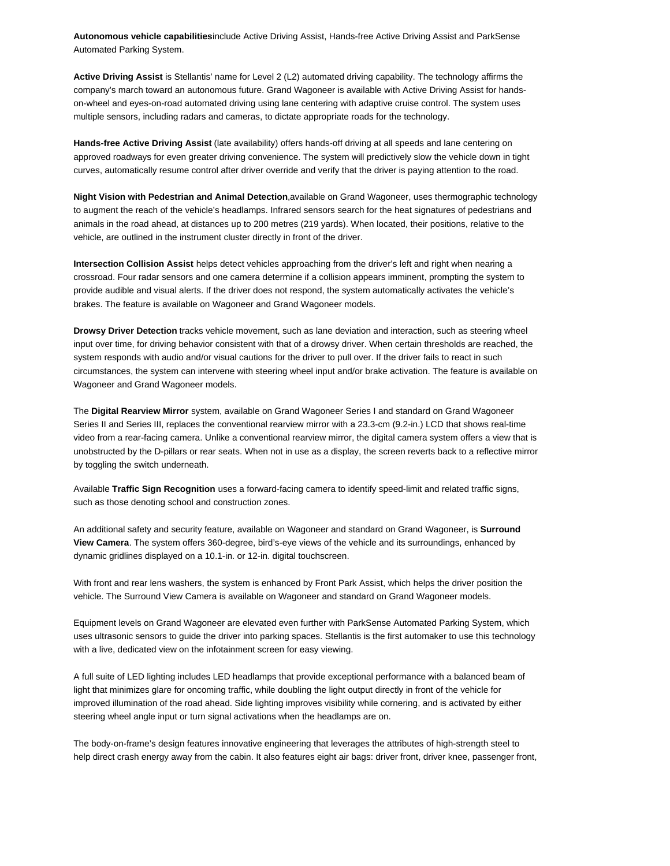**Autonomous vehicle capabilities**include Active Driving Assist, Hands-free Active Driving Assist and ParkSense Automated Parking System.

**Active Driving Assist** is Stellantis' name for Level 2 (L2) automated driving capability. The technology affirms the company's march toward an autonomous future. Grand Wagoneer is available with Active Driving Assist for handson-wheel and eyes-on-road automated driving using lane centering with adaptive cruise control. The system uses multiple sensors, including radars and cameras, to dictate appropriate roads for the technology.

**Hands-free Active Driving Assist** (late availability) offers hands-off driving at all speeds and lane centering on approved roadways for even greater driving convenience. The system will predictively slow the vehicle down in tight curves, automatically resume control after driver override and verify that the driver is paying attention to the road.

**Night Vision with Pedestrian and Animal Detection**,available on Grand Wagoneer, uses thermographic technology to augment the reach of the vehicle's headlamps. Infrared sensors search for the heat signatures of pedestrians and animals in the road ahead, at distances up to 200 metres (219 yards). When located, their positions, relative to the vehicle, are outlined in the instrument cluster directly in front of the driver.

**Intersection Collision Assist** helps detect vehicles approaching from the driver's left and right when nearing a crossroad. Four radar sensors and one camera determine if a collision appears imminent, prompting the system to provide audible and visual alerts. If the driver does not respond, the system automatically activates the vehicle's brakes. The feature is available on Wagoneer and Grand Wagoneer models.

**Drowsy Driver Detection** tracks vehicle movement, such as lane deviation and interaction, such as steering wheel input over time, for driving behavior consistent with that of a drowsy driver. When certain thresholds are reached, the system responds with audio and/or visual cautions for the driver to pull over. If the driver fails to react in such circumstances, the system can intervene with steering wheel input and/or brake activation. The feature is available on Wagoneer and Grand Wagoneer models.

The **Digital Rearview Mirror** system, available on Grand Wagoneer Series I and standard on Grand Wagoneer Series II and Series III, replaces the conventional rearview mirror with a 23.3-cm (9.2-in.) LCD that shows real-time video from a rear-facing camera. Unlike a conventional rearview mirror, the digital camera system offers a view that is unobstructed by the D-pillars or rear seats. When not in use as a display, the screen reverts back to a reflective mirror by toggling the switch underneath.

Available **Traffic Sign Recognition** uses a forward-facing camera to identify speed-limit and related traffic signs, such as those denoting school and construction zones.

An additional safety and security feature, available on Wagoneer and standard on Grand Wagoneer, is **Surround View Camera**. The system offers 360-degree, bird's-eye views of the vehicle and its surroundings, enhanced by dynamic gridlines displayed on a 10.1-in. or 12-in. digital touchscreen.

With front and rear lens washers, the system is enhanced by Front Park Assist, which helps the driver position the vehicle. The Surround View Camera is available on Wagoneer and standard on Grand Wagoneer models.

Equipment levels on Grand Wagoneer are elevated even further with ParkSense Automated Parking System, which uses ultrasonic sensors to guide the driver into parking spaces. Stellantis is the first automaker to use this technology with a live, dedicated view on the infotainment screen for easy viewing.

A full suite of LED lighting includes LED headlamps that provide exceptional performance with a balanced beam of light that minimizes glare for oncoming traffic, while doubling the light output directly in front of the vehicle for improved illumination of the road ahead. Side lighting improves visibility while cornering, and is activated by either steering wheel angle input or turn signal activations when the headlamps are on.

The body-on-frame's design features innovative engineering that leverages the attributes of high-strength steel to help direct crash energy away from the cabin. It also features eight air bags: driver front, driver knee, passenger front,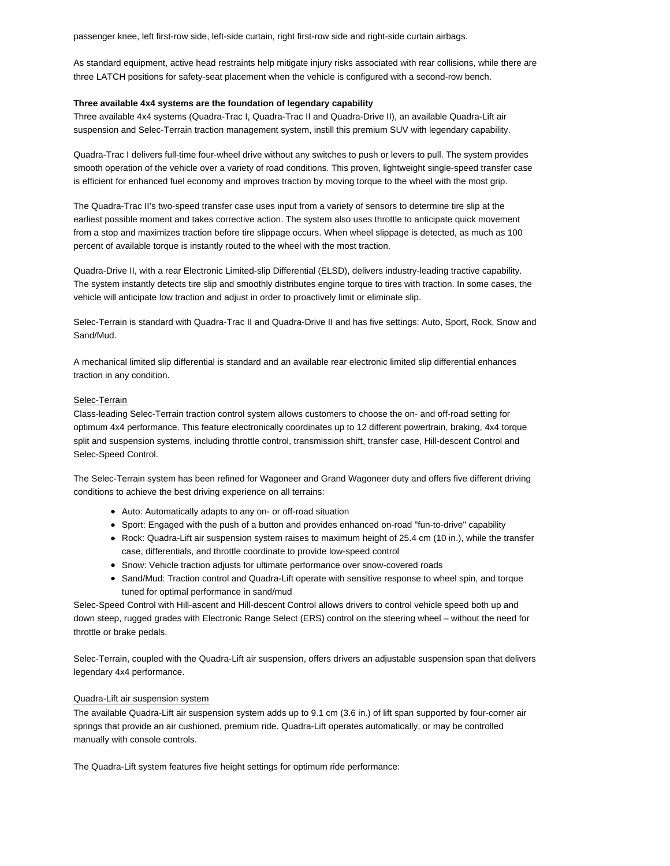passenger knee, left first-row side, left-side curtain, right first-row side and right-side curtain airbags.

As standard equipment, active head restraints help mitigate injury risks associated with rear collisions, while there are three LATCH positions for safety-seat placement when the vehicle is configured with a second-row bench.

### **Three available 4x4 systems are the foundation of legendary capability**

Three available 4x4 systems (Quadra-Trac I, Quadra-Trac II and Quadra-Drive II), an available Quadra-Lift air suspension and Selec-Terrain traction management system, instill this premium SUV with legendary capability.

Quadra-Trac I delivers full-time four-wheel drive without any switches to push or levers to pull. The system provides smooth operation of the vehicle over a variety of road conditions. This proven, lightweight single-speed transfer case is efficient for enhanced fuel economy and improves traction by moving torque to the wheel with the most grip.

The Quadra-Trac II's two-speed transfer case uses input from a variety of sensors to determine tire slip at the earliest possible moment and takes corrective action. The system also uses throttle to anticipate quick movement from a stop and maximizes traction before tire slippage occurs. When wheel slippage is detected, as much as 100 percent of available torque is instantly routed to the wheel with the most traction.

Quadra-Drive II, with a rear Electronic Limited-slip Differential (ELSD), delivers industry-leading tractive capability. The system instantly detects tire slip and smoothly distributes engine torque to tires with traction. In some cases, the vehicle will anticipate low traction and adjust in order to proactively limit or eliminate slip.

Selec-Terrain is standard with Quadra-Trac II and Quadra-Drive II and has five settings: Auto, Sport, Rock, Snow and Sand/Mud.

A mechanical limited slip differential is standard and an available rear electronic limited slip differential enhances traction in any condition.

#### Selec-Terrain

Class-leading Selec-Terrain traction control system allows customers to choose the on- and off-road setting for optimum 4x4 performance. This feature electronically coordinates up to 12 different powertrain, braking, 4x4 torque split and suspension systems, including throttle control, transmission shift, transfer case, Hill-descent Control and Selec-Speed Control.

The Selec-Terrain system has been refined for Wagoneer and Grand Wagoneer duty and offers five different driving conditions to achieve the best driving experience on all terrains:

- Auto: Automatically adapts to any on- or off-road situation
- Sport: Engaged with the push of a button and provides enhanced on-road "fun-to-drive" capability
- Rock: Quadra-Lift air suspension system raises to maximum height of 25.4 cm (10 in.), while the transfer case, differentials, and throttle coordinate to provide low-speed control
- Snow: Vehicle traction adjusts for ultimate performance over snow-covered roads
- Sand/Mud: Traction control and Quadra-Lift operate with sensitive response to wheel spin, and torque tuned for optimal performance in sand/mud

Selec-Speed Control with Hill-ascent and Hill-descent Control allows drivers to control vehicle speed both up and down steep, rugged grades with Electronic Range Select (ERS) control on the steering wheel – without the need for throttle or brake pedals.

Selec-Terrain, coupled with the Quadra-Lift air suspension, offers drivers an adjustable suspension span that delivers legendary 4x4 performance.

### Quadra-Lift air suspension system

The available Quadra-Lift air suspension system adds up to 9.1 cm (3.6 in.) of lift span supported by four-corner air springs that provide an air cushioned, premium ride. Quadra-Lift operates automatically, or may be controlled manually with console controls.

The Quadra-Lift system features five height settings for optimum ride performance: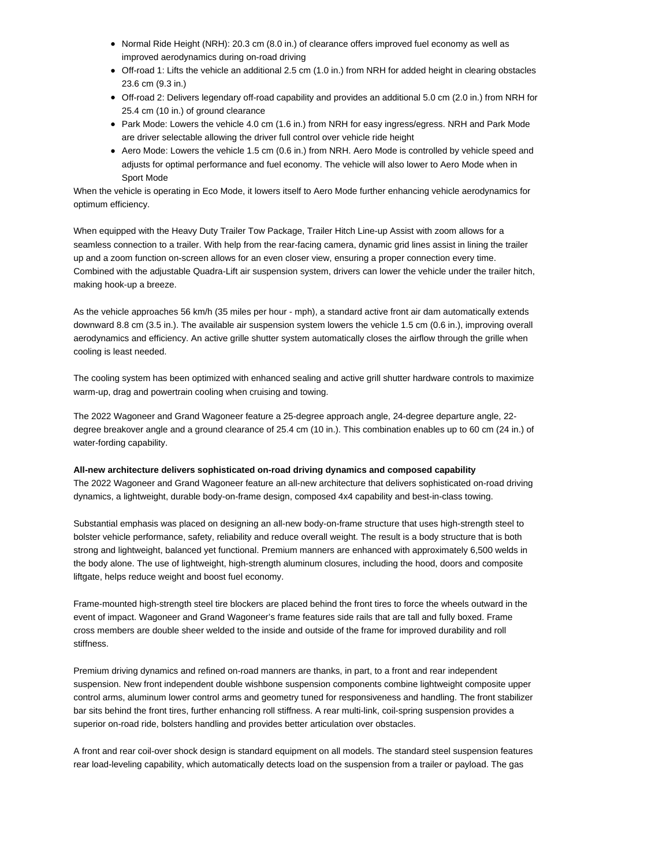- Normal Ride Height (NRH): 20.3 cm (8.0 in.) of clearance offers improved fuel economy as well as improved aerodynamics during on-road driving
- Off-road 1: Lifts the vehicle an additional 2.5 cm (1.0 in.) from NRH for added height in clearing obstacles 23.6 cm (9.3 in.)
- Off-road 2: Delivers legendary off-road capability and provides an additional 5.0 cm (2.0 in.) from NRH for 25.4 cm (10 in.) of ground clearance
- Park Mode: Lowers the vehicle 4.0 cm (1.6 in.) from NRH for easy ingress/egress. NRH and Park Mode are driver selectable allowing the driver full control over vehicle ride height
- Aero Mode: Lowers the vehicle 1.5 cm (0.6 in.) from NRH. Aero Mode is controlled by vehicle speed and adjusts for optimal performance and fuel economy. The vehicle will also lower to Aero Mode when in Sport Mode

When the vehicle is operating in Eco Mode, it lowers itself to Aero Mode further enhancing vehicle aerodynamics for optimum efficiency.

When equipped with the Heavy Duty Trailer Tow Package, Trailer Hitch Line-up Assist with zoom allows for a seamless connection to a trailer. With help from the rear-facing camera, dynamic grid lines assist in lining the trailer up and a zoom function on-screen allows for an even closer view, ensuring a proper connection every time. Combined with the adjustable Quadra-Lift air suspension system, drivers can lower the vehicle under the trailer hitch, making hook-up a breeze.

As the vehicle approaches 56 km/h (35 miles per hour - mph), a standard active front air dam automatically extends downward 8.8 cm (3.5 in.). The available air suspension system lowers the vehicle 1.5 cm (0.6 in.), improving overall aerodynamics and efficiency. An active grille shutter system automatically closes the airflow through the grille when cooling is least needed.

The cooling system has been optimized with enhanced sealing and active grill shutter hardware controls to maximize warm-up, drag and powertrain cooling when cruising and towing.

The 2022 Wagoneer and Grand Wagoneer feature a 25-degree approach angle, 24-degree departure angle, 22 degree breakover angle and a ground clearance of 25.4 cm (10 in.). This combination enables up to 60 cm (24 in.) of water-fording capability.

**All-new architecture delivers sophisticated on-road driving dynamics and composed capability** The 2022 Wagoneer and Grand Wagoneer feature an all-new architecture that delivers sophisticated on-road driving dynamics, a lightweight, durable body-on-frame design, composed 4x4 capability and best-in-class towing.

Substantial emphasis was placed on designing an all-new body-on-frame structure that uses high-strength steel to bolster vehicle performance, safety, reliability and reduce overall weight. The result is a body structure that is both strong and lightweight, balanced yet functional. Premium manners are enhanced with approximately 6,500 welds in the body alone. The use of lightweight, high-strength aluminum closures, including the hood, doors and composite liftgate, helps reduce weight and boost fuel economy.

Frame-mounted high-strength steel tire blockers are placed behind the front tires to force the wheels outward in the event of impact. Wagoneer and Grand Wagoneer's frame features side rails that are tall and fully boxed. Frame cross members are double sheer welded to the inside and outside of the frame for improved durability and roll stiffness.

Premium driving dynamics and refined on-road manners are thanks, in part, to a front and rear independent suspension. New front independent double wishbone suspension components combine lightweight composite upper control arms, aluminum lower control arms and geometry tuned for responsiveness and handling. The front stabilizer bar sits behind the front tires, further enhancing roll stiffness. A rear multi-link, coil-spring suspension provides a superior on-road ride, bolsters handling and provides better articulation over obstacles.

A front and rear coil-over shock design is standard equipment on all models. The standard steel suspension features rear load-leveling capability, which automatically detects load on the suspension from a trailer or payload. The gas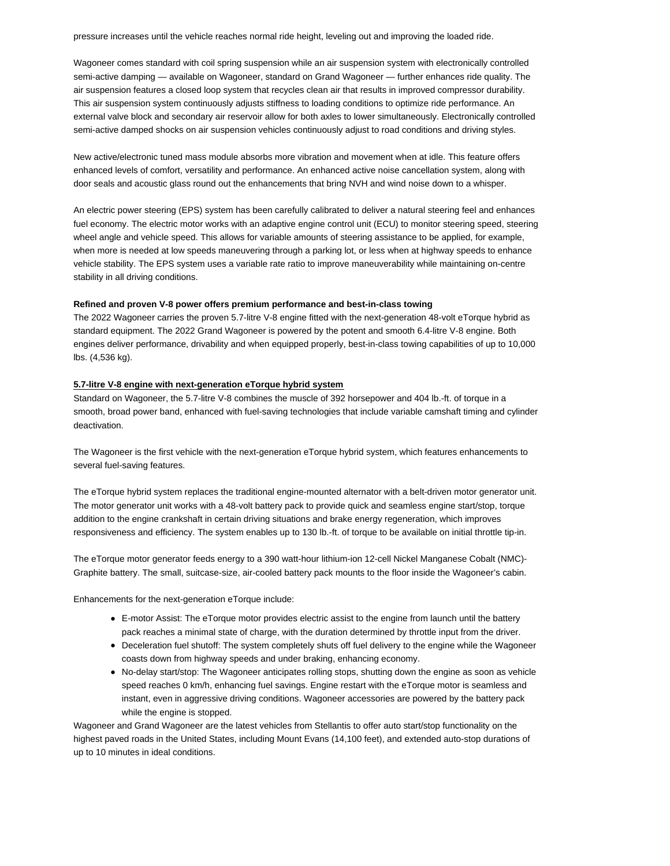pressure increases until the vehicle reaches normal ride height, leveling out and improving the loaded ride.

Wagoneer comes standard with coil spring suspension while an air suspension system with electronically controlled semi-active damping — available on Wagoneer, standard on Grand Wagoneer — further enhances ride quality. The air suspension features a closed loop system that recycles clean air that results in improved compressor durability. This air suspension system continuously adjusts stiffness to loading conditions to optimize ride performance. An external valve block and secondary air reservoir allow for both axles to lower simultaneously. Electronically controlled semi-active damped shocks on air suspension vehicles continuously adjust to road conditions and driving styles.

New active/electronic tuned mass module absorbs more vibration and movement when at idle. This feature offers enhanced levels of comfort, versatility and performance. An enhanced active noise cancellation system, along with door seals and acoustic glass round out the enhancements that bring NVH and wind noise down to a whisper.

An electric power steering (EPS) system has been carefully calibrated to deliver a natural steering feel and enhances fuel economy. The electric motor works with an adaptive engine control unit (ECU) to monitor steering speed, steering wheel angle and vehicle speed. This allows for variable amounts of steering assistance to be applied, for example, when more is needed at low speeds maneuvering through a parking lot, or less when at highway speeds to enhance vehicle stability. The EPS system uses a variable rate ratio to improve maneuverability while maintaining on-centre stability in all driving conditions.

## **Refined and proven V-8 power offers premium performance and best-in-class towing**

The 2022 Wagoneer carries the proven 5.7-litre V-8 engine fitted with the next-generation 48-volt eTorque hybrid as standard equipment. The 2022 Grand Wagoneer is powered by the potent and smooth 6.4-litre V-8 engine. Both engines deliver performance, drivability and when equipped properly, best-in-class towing capabilities of up to 10,000 lbs. (4,536 kg).

### **5.7-litre V-8 engine with next-generation eTorque hybrid system**

Standard on Wagoneer, the 5.7-litre V-8 combines the muscle of 392 horsepower and 404 lb.-ft. of torque in a smooth, broad power band, enhanced with fuel-saving technologies that include variable camshaft timing and cylinder deactivation.

The Wagoneer is the first vehicle with the next-generation eTorque hybrid system, which features enhancements to several fuel-saving features.

The eTorque hybrid system replaces the traditional engine-mounted alternator with a belt-driven motor generator unit. The motor generator unit works with a 48-volt battery pack to provide quick and seamless engine start/stop, torque addition to the engine crankshaft in certain driving situations and brake energy regeneration, which improves responsiveness and efficiency. The system enables up to 130 lb.-ft. of torque to be available on initial throttle tip-in.

The eTorque motor generator feeds energy to a 390 watt-hour lithium-ion 12-cell Nickel Manganese Cobalt (NMC)- Graphite battery. The small, suitcase-size, air-cooled battery pack mounts to the floor inside the Wagoneer's cabin.

Enhancements for the next-generation eTorque include:

- E-motor Assist: The eTorque motor provides electric assist to the engine from launch until the battery pack reaches a minimal state of charge, with the duration determined by throttle input from the driver.
- Deceleration fuel shutoff: The system completely shuts off fuel delivery to the engine while the Wagoneer coasts down from highway speeds and under braking, enhancing economy.
- No-delay start/stop: The Wagoneer anticipates rolling stops, shutting down the engine as soon as vehicle speed reaches 0 km/h, enhancing fuel savings. Engine restart with the eTorque motor is seamless and instant, even in aggressive driving conditions. Wagoneer accessories are powered by the battery pack while the engine is stopped.

Wagoneer and Grand Wagoneer are the latest vehicles from Stellantis to offer auto start/stop functionality on the highest paved roads in the United States, including Mount Evans (14,100 feet), and extended auto-stop durations of up to 10 minutes in ideal conditions.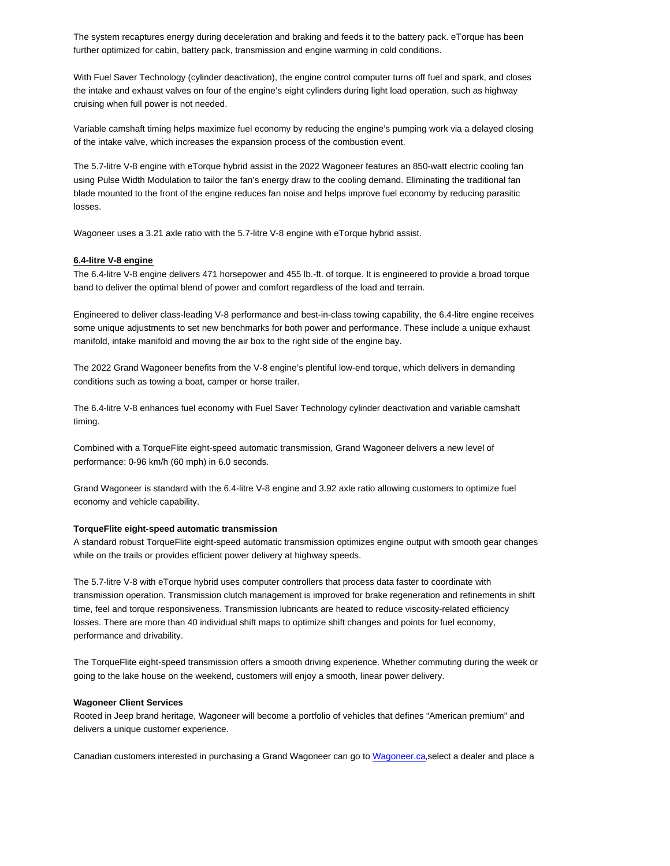The system recaptures energy during deceleration and braking and feeds it to the battery pack. eTorque has been further optimized for cabin, battery pack, transmission and engine warming in cold conditions.

With Fuel Saver Technology (cylinder deactivation), the engine control computer turns off fuel and spark, and closes the intake and exhaust valves on four of the engine's eight cylinders during light load operation, such as highway cruising when full power is not needed.

Variable camshaft timing helps maximize fuel economy by reducing the engine's pumping work via a delayed closing of the intake valve, which increases the expansion process of the combustion event.

The 5.7-litre V-8 engine with eTorque hybrid assist in the 2022 Wagoneer features an 850-watt electric cooling fan using Pulse Width Modulation to tailor the fan's energy draw to the cooling demand. Eliminating the traditional fan blade mounted to the front of the engine reduces fan noise and helps improve fuel economy by reducing parasitic losses.

Wagoneer uses a 3.21 axle ratio with the 5.7-litre V-8 engine with eTorque hybrid assist.

### **6.4-litre V-8 engine**

The 6.4-litre V-8 engine delivers 471 horsepower and 455 lb.-ft. of torque. It is engineered to provide a broad torque band to deliver the optimal blend of power and comfort regardless of the load and terrain.

Engineered to deliver class-leading V-8 performance and best-in-class towing capability, the 6.4-litre engine receives some unique adjustments to set new benchmarks for both power and performance. These include a unique exhaust manifold, intake manifold and moving the air box to the right side of the engine bay.

The 2022 Grand Wagoneer benefits from the V-8 engine's plentiful low-end torque, which delivers in demanding conditions such as towing a boat, camper or horse trailer.

The 6.4-litre V-8 enhances fuel economy with Fuel Saver Technology cylinder deactivation and variable camshaft timing.

Combined with a TorqueFlite eight-speed automatic transmission, Grand Wagoneer delivers a new level of performance: 0-96 km/h (60 mph) in 6.0 seconds.

Grand Wagoneer is standard with the 6.4-litre V-8 engine and 3.92 axle ratio allowing customers to optimize fuel economy and vehicle capability.

## **TorqueFlite eight-speed automatic transmission**

A standard robust TorqueFlite eight-speed automatic transmission optimizes engine output with smooth gear changes while on the trails or provides efficient power delivery at highway speeds.

The 5.7-litre V-8 with eTorque hybrid uses computer controllers that process data faster to coordinate with transmission operation. Transmission clutch management is improved for brake regeneration and refinements in shift time, feel and torque responsiveness. Transmission lubricants are heated to reduce viscosity-related efficiency losses. There are more than 40 individual shift maps to optimize shift changes and points for fuel economy, performance and drivability.

The TorqueFlite eight-speed transmission offers a smooth driving experience. Whether commuting during the week or going to the lake house on the weekend, customers will enjoy a smooth, linear power delivery.

#### **Wagoneer Client Services**

Rooted in Jeep brand heritage, Wagoneer will become a portfolio of vehicles that defines "American premium" and delivers a unique customer experience.

Canadian customers interested in purchasing a Grand Wagoneer can go to Wagoneer.ca, select a dealer and place a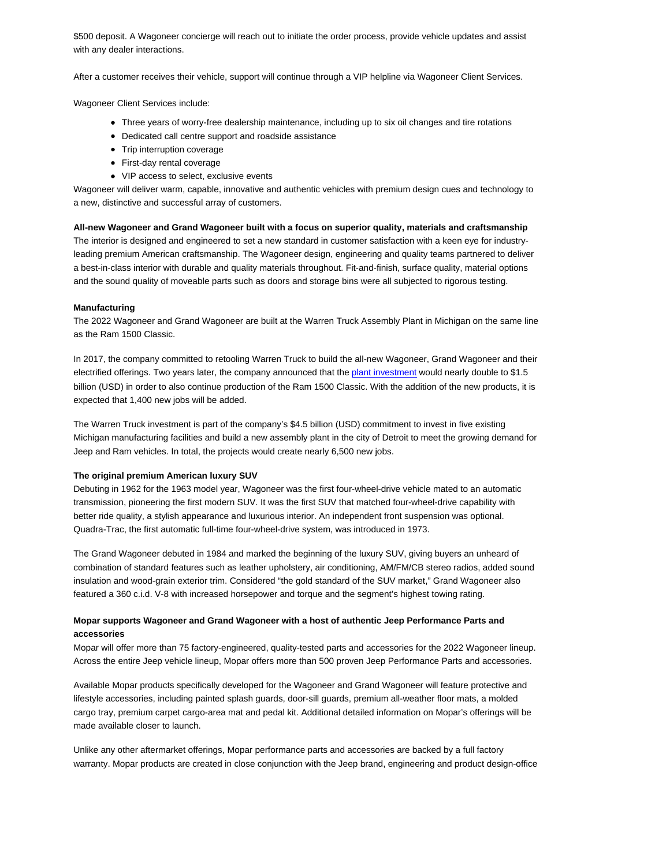\$500 deposit. A Wagoneer concierge will reach out to initiate the order process, provide vehicle updates and assist with any dealer interactions.

After a customer receives their vehicle, support will continue through a VIP helpline via Wagoneer Client Services.

Wagoneer Client Services include:

- Three years of worry-free dealership maintenance, including up to six oil changes and tire rotations
- Dedicated call centre support and roadside assistance
- Trip interruption coverage
- First-day rental coverage
- VIP access to select, exclusive events

Wagoneer will deliver warm, capable, innovative and authentic vehicles with premium design cues and technology to a new, distinctive and successful array of customers.

#### **All-new Wagoneer and Grand Wagoneer built with a focus on superior quality, materials and craftsmanship**

The interior is designed and engineered to set a new standard in customer satisfaction with a keen eye for industryleading premium American craftsmanship. The Wagoneer design, engineering and quality teams partnered to deliver a best-in-class interior with durable and quality materials throughout. Fit-and-finish, surface quality, material options and the sound quality of moveable parts such as doors and storage bins were all subjected to rigorous testing.

#### **Manufacturing**

The 2022 Wagoneer and Grand Wagoneer are built at the Warren Truck Assembly Plant in Michigan on the same line as the Ram 1500 Classic.

In 2017, the company committed to retooling Warren Truck to build the all-new Wagoneer, Grand Wagoneer and their electrified offerings. Two years later, the company announced that the plant investment would nearly double to \$1.5 billion (USD) in order to also continue production of the Ram 1500 Classic. With the addition of the new products, it is expected that 1,400 new jobs will be added.

The Warren Truck investment is part of the company's \$4.5 billion (USD) commitment to invest in five existing Michigan manufacturing facilities and build a new assembly plant in the city of Detroit to meet the growing demand for Jeep and Ram vehicles. In total, the projects would create nearly 6,500 new jobs.

#### **The original premium American luxury SUV**

Debuting in 1962 for the 1963 model year, Wagoneer was the first four-wheel-drive vehicle mated to an automatic transmission, pioneering the first modern SUV. It was the first SUV that matched four-wheel-drive capability with better ride quality, a stylish appearance and luxurious interior. An independent front suspension was optional. Quadra-Trac, the first automatic full-time four-wheel-drive system, was introduced in 1973.

The Grand Wagoneer debuted in 1984 and marked the beginning of the luxury SUV, giving buyers an unheard of combination of standard features such as leather upholstery, air conditioning, AM/FM/CB stereo radios, added sound insulation and wood-grain exterior trim. Considered "the gold standard of the SUV market," Grand Wagoneer also featured a 360 c.i.d. V-8 with increased horsepower and torque and the segment's highest towing rating.

# **Mopar supports Wagoneer and Grand Wagoneer with a host of authentic Jeep Performance Parts and accessories**

Mopar will offer more than 75 factory-engineered, quality-tested parts and accessories for the 2022 Wagoneer lineup. Across the entire Jeep vehicle lineup, Mopar offers more than 500 proven Jeep Performance Parts and accessories.

Available Mopar products specifically developed for the Wagoneer and Grand Wagoneer will feature protective and lifestyle accessories, including painted splash guards, door-sill guards, premium all-weather floor mats, a molded cargo tray, premium carpet cargo-area mat and pedal kit. Additional detailed information on Mopar's offerings will be made available closer to launch.

Unlike any other aftermarket offerings, Mopar performance parts and accessories are backed by a full factory warranty. Mopar products are created in close conjunction with the Jeep brand, engineering and product design-office